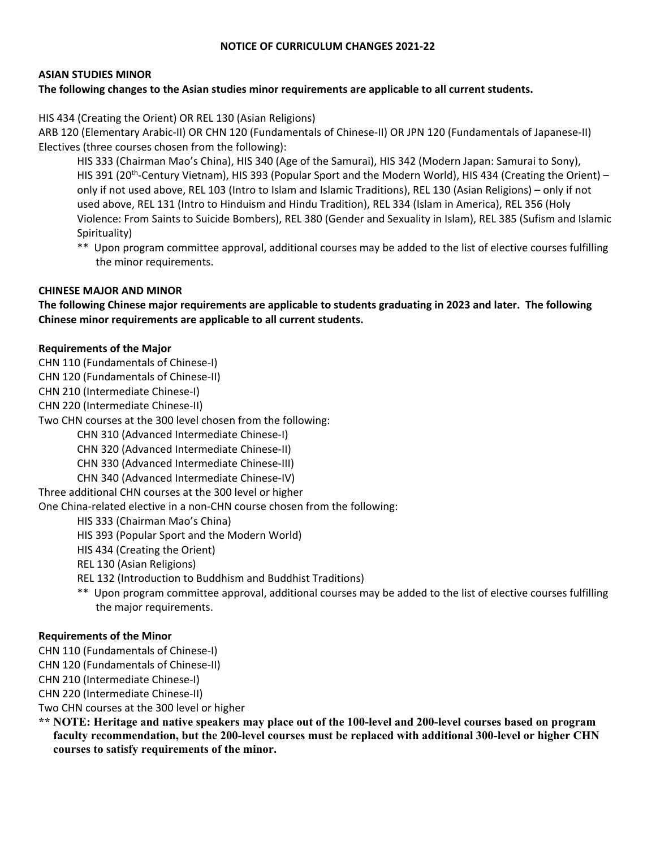## **NOTICE OF CURRICULUM CHANGES 2021‐22**

## **ASIAN STUDIES MINOR**

## The following changes to the Asian studies minor requirements are applicable to all current students.

HIS 434 (Creating the Orient) OR REL 130 (Asian Religions)

ARB 120 (Elementary Arabic‐II) OR CHN 120 (Fundamentals of Chinese‐II) OR JPN 120 (Fundamentals of Japanese‐II) Electives (three courses chosen from the following):

 HIS 333 (Chairman Mao's China), HIS 340 (Age of the Samurai), HIS 342 (Modern Japan: Samurai to Sony), HIS 391 (20<sup>th</sup>-Century Vietnam), HIS 393 (Popular Sport and the Modern World), HIS 434 (Creating the Orient) – only if not used above, REL 103 (Intro to Islam and Islamic Traditions), REL 130 (Asian Religions) – only if not used above, REL 131 (Intro to Hinduism and Hindu Tradition), REL 334 (Islam in America), REL 356 (Holy Violence: From Saints to Suicide Bombers), REL 380 (Gender and Sexuality in Islam), REL 385 (Sufism and Islamic Spirituality)

\*\* Upon program committee approval, additional courses may be added to the list of elective courses fulfilling the minor requirements.

#### **CHINESE MAJOR AND MINOR**

**The following Chinese major requirements are applicable to students graduating in 2023 and later. The following Chinese minor requirements are applicable to all current students.** 

#### **Requirements of the Major**

- CHN 110 (Fundamentals of Chinese‐I)
- CHN 120 (Fundamentals of Chinese‐II)
- CHN 210 (Intermediate Chinese‐I)
- CHN 220 (Intermediate Chinese‐II)

Two CHN courses at the 300 level chosen from the following:

CHN 310 (Advanced Intermediate Chinese‐I)

CHN 320 (Advanced Intermediate Chinese‐II)

- CHN 330 (Advanced Intermediate Chinese‐III)
- CHN 340 (Advanced Intermediate Chinese‐IV)
- Three additional CHN courses at the 300 level or higher

One China‐related elective in a non‐CHN course chosen from the following:

- HIS 333 (Chairman Mao's China)
- HIS 393 (Popular Sport and the Modern World)
- HIS 434 (Creating the Orient)
- REL 130 (Asian Religions)
- REL 132 (Introduction to Buddhism and Buddhist Traditions)
- \*\* Upon program committee approval, additional courses may be added to the list of elective courses fulfilling the major requirements.

## **Requirements of the Minor**

- CHN 110 (Fundamentals of Chinese‐I)
- CHN 120 (Fundamentals of Chinese‐II)

CHN 210 (Intermediate Chinese‐I)

CHN 220 (Intermediate Chinese‐II)

Two CHN courses at the 300 level or higher

**\*\* NOTE: Heritage and native speakers may place out of the 100-level and 200-level courses based on program faculty recommendation, but the 200-level courses must be replaced with additional 300-level or higher CHN courses to satisfy requirements of the minor.**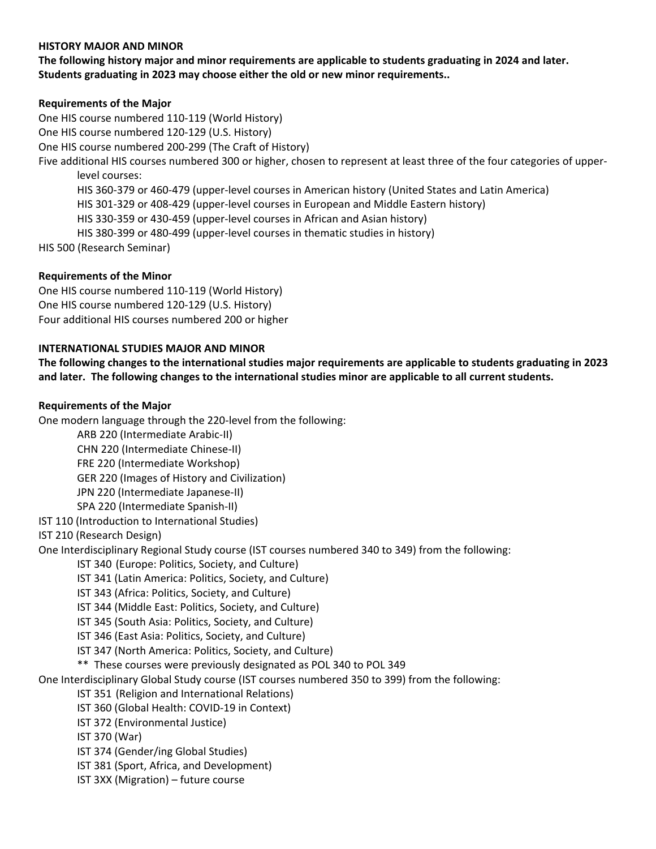### **HISTORY MAJOR AND MINOR**

**The following history major and minor requirements are applicable to students graduating in 2024 and later. Students graduating in 2023 may choose either the old or new minor requirements..** 

#### **Requirements of the Major**

One HIS course numbered 110‐119 (World History) One HIS course numbered 120‐129 (U.S. History) One HIS course numbered 200‐299 (The Craft of History) Five additional HIS courses numbered 300 or higher, chosen to represent at least three of the four categories of upper‐ level courses: HIS 360‐379 or 460‐479 (upper‐level courses in American history (United States and Latin America) HIS 301‐329 or 408‐429 (upper‐level courses in European and Middle Eastern history) HIS 330‐359 or 430‐459 (upper‐level courses in African and Asian history) HIS 380‐399 or 480‐499 (upper‐level courses in thematic studies in history) HIS 500 (Research Seminar)

## **Requirements of the Minor**

One HIS course numbered 110‐119 (World History) One HIS course numbered 120‐129 (U.S. History) Four additional HIS courses numbered 200 or higher

#### **INTERNATIONAL STUDIES MAJOR AND MINOR**

**The following changes to the international studies major requirements are applicable to students graduating in 2023 and later. The following changes to the international studies minor are applicable to all current students.** 

#### **Requirements of the Major**

One modern language through the 220‐level from the following:

- ARB 220 (Intermediate Arabic‐II)
- CHN 220 (Intermediate Chinese‐II)
- FRE 220 (Intermediate Workshop)
- GER 220 (Images of History and Civilization)
- JPN 220 (Intermediate Japanese‐II)
- SPA 220 (Intermediate Spanish‐II)
- IST 110 (Introduction to International Studies)
- IST 210 (Research Design)

One Interdisciplinary Regional Study course (IST courses numbered 340 to 349) from the following:

- IST 340 (Europe: Politics, Society, and Culture)
- IST 341 (Latin America: Politics, Society, and Culture)
- IST 343 (Africa: Politics, Society, and Culture)
- IST 344 (Middle East: Politics, Society, and Culture)
- IST 345 (South Asia: Politics, Society, and Culture)
- IST 346 (East Asia: Politics, Society, and Culture)
- IST 347 (North America: Politics, Society, and Culture)
- \*\* These courses were previously designated as POL 340 to POL 349
- One Interdisciplinary Global Study course (IST courses numbered 350 to 399) from the following:
	- IST 351 (Religion and International Relations)
	- IST 360 (Global Health: COVID‐19 in Context)
	- IST 372 (Environmental Justice)
	- IST 370 (War)
	- IST 374 (Gender/ing Global Studies)
	- IST 381 (Sport, Africa, and Development)
	- IST 3XX (Migration) future course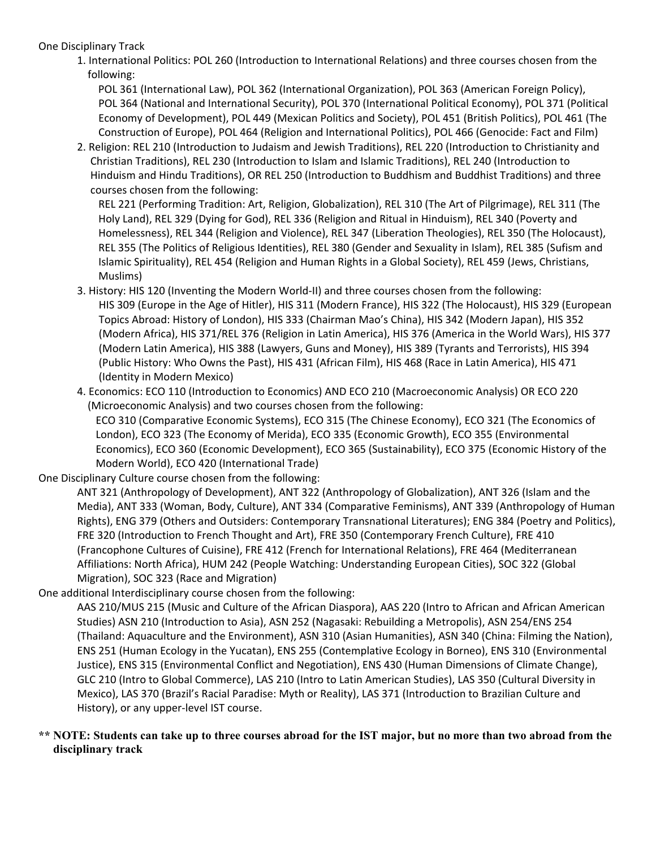One Disciplinary Track

1. International Politics: POL 260 (Introduction to International Relations) and three courses chosen from the following:

 POL 361 (International Law), POL 362 (International Organization), POL 363 (American Foreign Policy), POL 364 (National and International Security), POL 370 (International Political Economy), POL 371 (Political Economy of Development), POL 449 (Mexican Politics and Society), POL 451 (British Politics), POL 461 (The Construction of Europe), POL 464 (Religion and International Politics), POL 466 (Genocide: Fact and Film)

2. Religion: REL 210 (Introduction to Judaism and Jewish Traditions), REL 220 (Introduction to Christianity and Christian Traditions), REL 230 (Introduction to Islam and Islamic Traditions), REL 240 (Introduction to Hinduism and Hindu Traditions), OR REL 250 (Introduction to Buddhism and Buddhist Traditions) and three courses chosen from the following:

 REL 221 (Performing Tradition: Art, Religion, Globalization), REL 310 (The Art of Pilgrimage), REL 311 (The Holy Land), REL 329 (Dying for God), REL 336 (Religion and Ritual in Hinduism), REL 340 (Poverty and Homelessness), REL 344 (Religion and Violence), REL 347 (Liberation Theologies), REL 350 (The Holocaust), REL 355 (The Politics of Religious Identities), REL 380 (Gender and Sexuality in Islam), REL 385 (Sufism and Islamic Spirituality), REL 454 (Religion and Human Rights in a Global Society), REL 459 (Jews, Christians, Muslims)

- 3. History: HIS 120 (Inventing the Modern World‐II) and three courses chosen from the following: HIS 309 (Europe in the Age of Hitler), HIS 311 (Modern France), HIS 322 (The Holocaust), HIS 329 (European Topics Abroad: History of London), HIS 333 (Chairman Mao's China), HIS 342 (Modern Japan), HIS 352 (Modern Africa), HIS 371/REL 376 (Religion in Latin America), HIS 376 (America in the World Wars), HIS 377 (Modern Latin America), HIS 388 (Lawyers, Guns and Money), HIS 389 (Tyrants and Terrorists), HIS 394 (Public History: Who Owns the Past), HIS 431 (African Film), HIS 468 (Race in Latin America), HIS 471 (Identity in Modern Mexico)
- 4. Economics: ECO 110 (Introduction to Economics) AND ECO 210 (Macroeconomic Analysis) OR ECO 220 (Microeconomic Analysis) and two courses chosen from the following:

 ECO 310 (Comparative Economic Systems), ECO 315 (The Chinese Economy), ECO 321 (The Economics of London), ECO 323 (The Economy of Merida), ECO 335 (Economic Growth), ECO 355 (Environmental Economics), ECO 360 (Economic Development), ECO 365 (Sustainability), ECO 375 (Economic History of the Modern World), ECO 420 (International Trade)

One Disciplinary Culture course chosen from the following:

ANT 321 (Anthropology of Development), ANT 322 (Anthropology of Globalization), ANT 326 (Islam and the Media), ANT 333 (Woman, Body, Culture), ANT 334 (Comparative Feminisms), ANT 339 (Anthropology of Human Rights), ENG 379 (Others and Outsiders: Contemporary Transnational Literatures); ENG 384 (Poetry and Politics), FRE 320 (Introduction to French Thought and Art), FRE 350 (Contemporary French Culture), FRE 410 (Francophone Cultures of Cuisine), FRE 412 (French for International Relations), FRE 464 (Mediterranean Affiliations: North Africa), HUM 242 (People Watching: Understanding European Cities), SOC 322 (Global Migration), SOC 323 (Race and Migration)

One additional Interdisciplinary course chosen from the following:

AAS 210/MUS 215 (Music and Culture of the African Diaspora), AAS 220 (Intro to African and African American Studies) ASN 210 (Introduction to Asia), ASN 252 (Nagasaki: Rebuilding a Metropolis), ASN 254/ENS 254 (Thailand: Aquaculture and the Environment), ASN 310 (Asian Humanities), ASN 340 (China: Filming the Nation), ENS 251 (Human Ecology in the Yucatan), ENS 255 (Contemplative Ecology in Borneo), ENS 310 (Environmental Justice), ENS 315 (Environmental Conflict and Negotiation), ENS 430 (Human Dimensions of Climate Change), GLC 210 (Intro to Global Commerce), LAS 210 (Intro to Latin American Studies), LAS 350 (Cultural Diversity in Mexico), LAS 370 (Brazil's Racial Paradise: Myth or Reality), LAS 371 (Introduction to Brazilian Culture and History), or any upper‐level IST course.

## **\*\* NOTE: Students can take up to three courses abroad for the IST major, but no more than two abroad from the disciplinary track**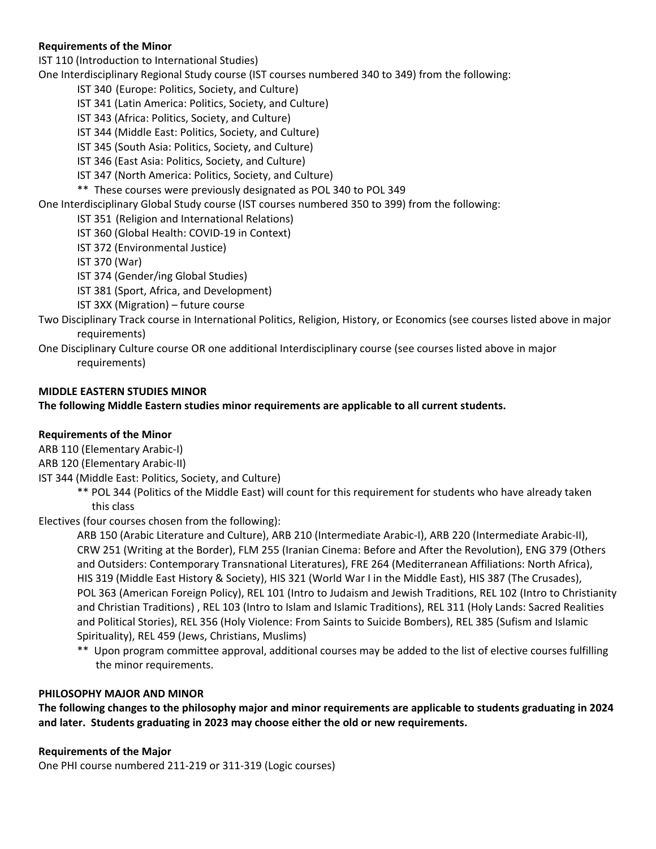## **Requirements of the Minor**

IST 110 (Introduction to International Studies)

One Interdisciplinary Regional Study course (IST courses numbered 340 to 349) from the following:

IST 340 (Europe: Politics, Society, and Culture)

IST 341 (Latin America: Politics, Society, and Culture)

IST 343 (Africa: Politics, Society, and Culture)

IST 344 (Middle East: Politics, Society, and Culture)

IST 345 (South Asia: Politics, Society, and Culture)

IST 346 (East Asia: Politics, Society, and Culture)

IST 347 (North America: Politics, Society, and Culture)

\*\* These courses were previously designated as POL 340 to POL 349

One Interdisciplinary Global Study course (IST courses numbered 350 to 399) from the following:

IST 351 (Religion and International Relations)

IST 360 (Global Health: COVID‐19 in Context)

IST 372 (Environmental Justice)

IST 370 (War)

IST 374 (Gender/ing Global Studies)

IST 381 (Sport, Africa, and Development)

IST 3XX (Migration) – future course

Two Disciplinary Track course in International Politics, Religion, History, or Economics (see courses listed above in major requirements)

One Disciplinary Culture course OR one additional Interdisciplinary course (see courses listed above in major requirements)

## **MIDDLE EASTERN STUDIES MINOR**

**The following Middle Eastern studies minor requirements are applicable to all current students.** 

## **Requirements of the Minor**

ARB 110 (Elementary Arabic‐I)

ARB 120 (Elementary Arabic‐II)

- IST 344 (Middle East: Politics, Society, and Culture)
	- \*\* POL 344 (Politics of the Middle East) will count for this requirement for students who have already taken this class

Electives (four courses chosen from the following):

ARB 150 (Arabic Literature and Culture), ARB 210 (Intermediate Arabic‐I), ARB 220 (Intermediate Arabic‐II), CRW 251 (Writing at the Border), FLM 255 (Iranian Cinema: Before and After the Revolution), ENG 379 (Others and Outsiders: Contemporary Transnational Literatures), FRE 264 (Mediterranean Affiliations: North Africa), HIS 319 (Middle East History & Society), HIS 321 (World War I in the Middle East), HIS 387 (The Crusades), POL 363 (American Foreign Policy), REL 101 (Intro to Judaism and Jewish Traditions, REL 102 (Intro to Christianity and Christian Traditions) , REL 103 (Intro to Islam and Islamic Traditions), REL 311 (Holy Lands: Sacred Realities and Political Stories), REL 356 (Holy Violence: From Saints to Suicide Bombers), REL 385 (Sufism and Islamic Spirituality), REL 459 (Jews, Christians, Muslims)

 \*\* Upon program committee approval, additional courses may be added to the list of elective courses fulfilling the minor requirements.

## **PHILOSOPHY MAJOR AND MINOR**

**The following changes to the philosophy major and minor requirements are applicable to students graduating in 2024 and later. Students graduating in 2023 may choose either the old or new requirements.** 

## **Requirements of the Major**

One PHI course numbered 211‐219 or 311‐319 (Logic courses)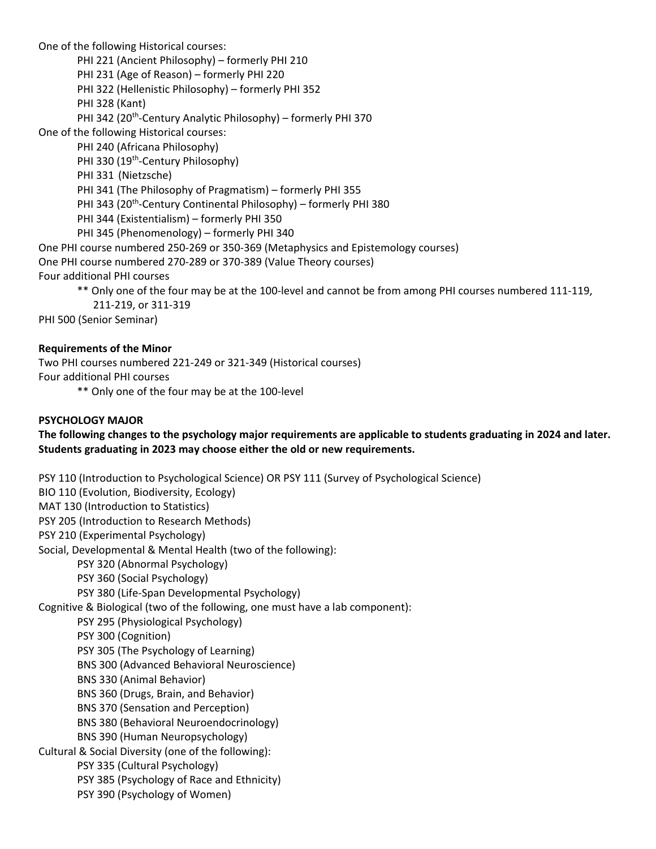One of the following Historical courses:

PHI 221 (Ancient Philosophy) – formerly PHI 210

PHI 231 (Age of Reason) – formerly PHI 220

PHI 322 (Hellenistic Philosophy) – formerly PHI 352

PHI 328 (Kant)

PHI 342 (20<sup>th</sup>-Century Analytic Philosophy) – formerly PHI 370

One of the following Historical courses:

PHI 240 (Africana Philosophy)

PHI 330 (19<sup>th</sup>-Century Philosophy)

PHI 331 (Nietzsche)

PHI 341 (The Philosophy of Pragmatism) – formerly PHI 355

PHI 343 (20<sup>th</sup>-Century Continental Philosophy) – formerly PHI 380

- PHI 344 (Existentialism) formerly PHI 350
- PHI 345 (Phenomenology) formerly PHI 340

One PHI course numbered 250‐269 or 350‐369 (Metaphysics and Epistemology courses)

One PHI course numbered 270‐289 or 370‐389 (Value Theory courses)

Four additional PHI courses

\*\* Only one of the four may be at the 100‐level and cannot be from among PHI courses numbered 111‐119,

211‐219, or 311‐319

PHI 500 (Senior Seminar)

## **Requirements of the Minor**

Two PHI courses numbered 221‐249 or 321‐349 (Historical courses) Four additional PHI courses

\*\* Only one of the four may be at the 100‐level

# **PSYCHOLOGY MAJOR**

**The following changes to the psychology major requirements are applicable to students graduating in 2024 and later. Students graduating in 2023 may choose either the old or new requirements.** 

PSY 110 (Introduction to Psychological Science) OR PSY 111 (Survey of Psychological Science) BIO 110 (Evolution, Biodiversity, Ecology) MAT 130 (Introduction to Statistics) PSY 205 (Introduction to Research Methods) PSY 210 (Experimental Psychology) Social, Developmental & Mental Health (two of the following): PSY 320 (Abnormal Psychology) PSY 360 (Social Psychology) PSY 380 (Life‐Span Developmental Psychology) Cognitive & Biological (two of the following, one must have a lab component): PSY 295 (Physiological Psychology) PSY 300 (Cognition) PSY 305 (The Psychology of Learning) BNS 300 (Advanced Behavioral Neuroscience) BNS 330 (Animal Behavior) BNS 360 (Drugs, Brain, and Behavior) BNS 370 (Sensation and Perception) BNS 380 (Behavioral Neuroendocrinology) BNS 390 (Human Neuropsychology) Cultural & Social Diversity (one of the following): PSY 335 (Cultural Psychology) PSY 385 (Psychology of Race and Ethnicity) PSY 390 (Psychology of Women)